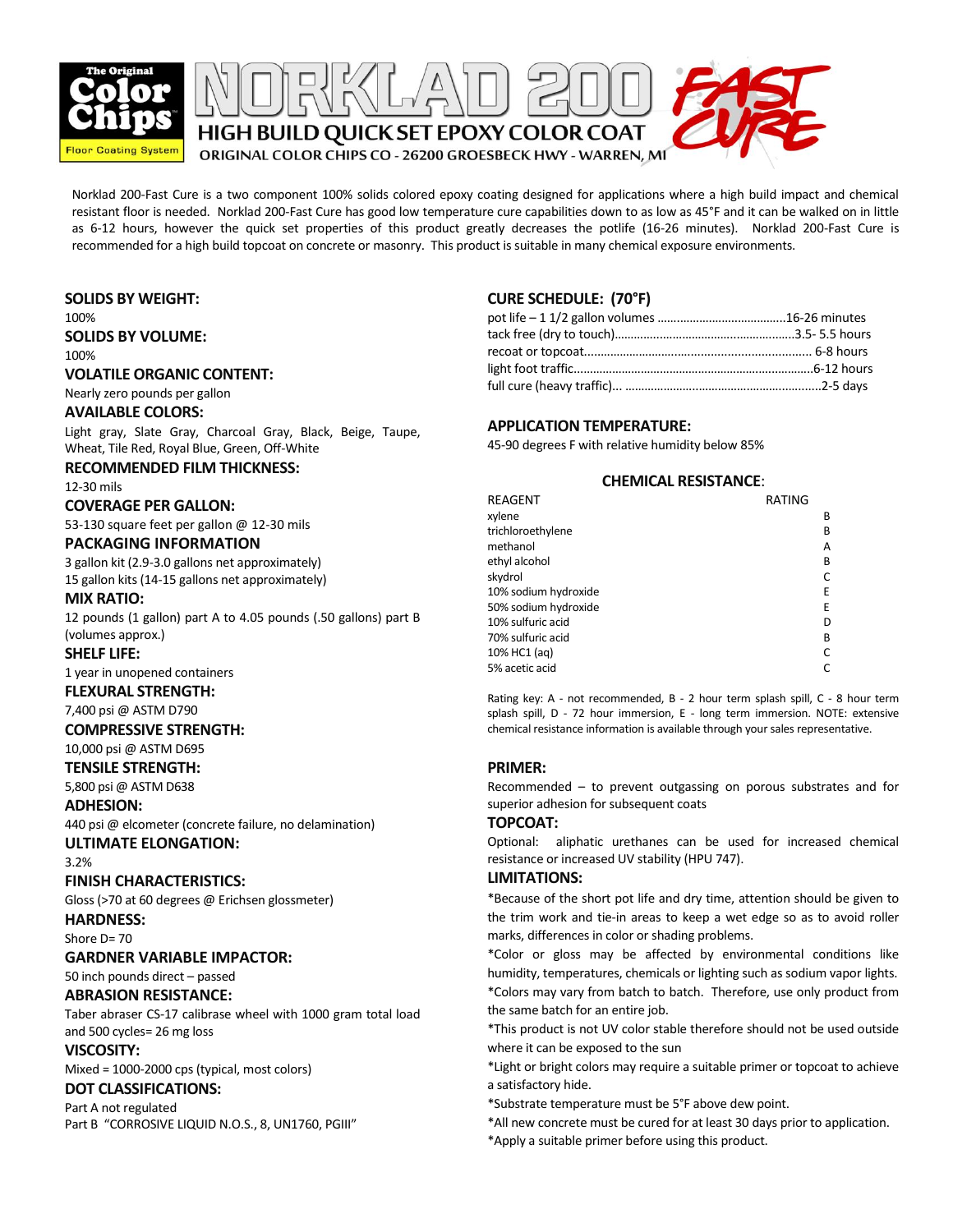



Norklad 200-Fast Cure is a two component 100% solids colored epoxy coating designed for applications where a high build impact and chemical resistant floor is needed. Norklad 200-Fast Cure has good low temperature cure capabilities down to as low as 45°F and it can be walked on in little as 6-12 hours, however the quick set properties of this product greatly decreases the potlife (16-26 minutes). Norklad 200-Fast Cure is recommended for a high build topcoat on concrete or masonry. This product is suitable in many chemical exposure environments.

### **SOLIDS BY WEIGHT:**

100% **SOLIDS BY VOLUME:**

100%

### **VOLATILE ORGANIC CONTENT:**

Nearly zero pounds per gallon

#### **AVAILABLE COLORS:**

Light gray, Slate Gray, Charcoal Gray, Black, Beige, Taupe, Wheat, Tile Red, Royal Blue, Green, Off-White

#### **RECOMMENDED FILM THICKNESS:**

12-30 mils

## **COVERAGE PER GALLON:**

53-130 square feet per gallon @ 12-30 mils

#### **PACKAGING INFORMATION**

3 gallon kit (2.9-3.0 gallons net approximately) 15 gallon kits (14-15 gallons net approximately)

#### **MIX RATIO:**

12 pounds (1 gallon) part A to 4.05 pounds (.50 gallons) part B (volumes approx.)

#### **SHELF LIFE:**

1 year in unopened containers

## **FLEXURAL STRENGTH:**

7,400 psi @ ASTM D790

#### **COMPRESSIVE STRENGTH:**

10,000 psi @ ASTM D695

**TENSILE STRENGTH:**

5,800 psi @ ASTM D638

## **ADHESION:**

440 psi @ elcometer (concrete failure, no delamination) **ULTIMATE ELONGATION:**

# 3.2%

## **FINISH CHARACTERISTICS:**

Gloss (>70 at 60 degrees @ Erichsen glossmeter) **HARDNESS:**

Shore  $D = 70$ 

#### **GARDNER VARIABLE IMPACTOR:**

50 inch pounds direct – passed

## **ABRASION RESISTANCE:**

Taber abraser CS-17 calibrase wheel with 1000 gram total load and 500 cycles= 26 mg loss

#### **VISCOSITY:**

Mixed = 1000-2000 cps (typical, most colors)

## **DOT CLASSIFICATIONS:**

Part A not regulated Part B "CORROSIVE LIQUID N.O.S., 8, UN1760, PGIII"

## **CURE SCHEDULE: (70°F)**

### **APPLICATION TEMPERATURE:**

45-90 degrees F with relative humidity below 85%

#### **CHEMICAL RESISTANCE**:

| REAGENT              | RATING |   |
|----------------------|--------|---|
| xylene               |        | В |
| trichloroethylene    |        | В |
| methanol             |        | Α |
| ethyl alcohol        |        | В |
| skydrol              |        |   |
| 10% sodium hydroxide |        | E |
| 50% sodium hydroxide |        | E |
| 10% sulfuric acid    |        | D |
| 70% sulfuric acid    |        | B |
| 10% HC1 (ag)         |        |   |
| 5% acetic acid       |        |   |

Rating key: A - not recommended, B - 2 hour term splash spill, C - 8 hour term splash spill, D - 72 hour immersion, E - long term immersion. NOTE: extensive chemical resistance information is available through your sales representative.

#### **PRIMER:**

Recommended – to prevent outgassing on porous substrates and for superior adhesion for subsequent coats

#### **TOPCOAT:**

Optional: aliphatic urethanes can be used for increased chemical resistance or increased UV stability (HPU 747).

#### **LIMITATIONS:**

\*Because of the short pot life and dry time, attention should be given to the trim work and tie-in areas to keep a wet edge so as to avoid roller marks, differences in color or shading problems.

\*Color or gloss may be affected by environmental conditions like humidity, temperatures, chemicals or lighting such as sodium vapor lights. \*Colors may vary from batch to batch. Therefore, use only product from the same batch for an entire job.

This product is not OV color stable therefore should not be a<br>where it can be exposed to the sun \*This product is not UV color stable therefore should not be used outside

\*Light or bright colors may require a suitable primer or topcoat to achieve a satisfactory hide.

a sausiactory niue.<br>\*Substrate temperature must be 5°F above dew point.

\*All new concrete must be cured for at least 30 days prior to application. \*Apply a suitable primer before using this product.